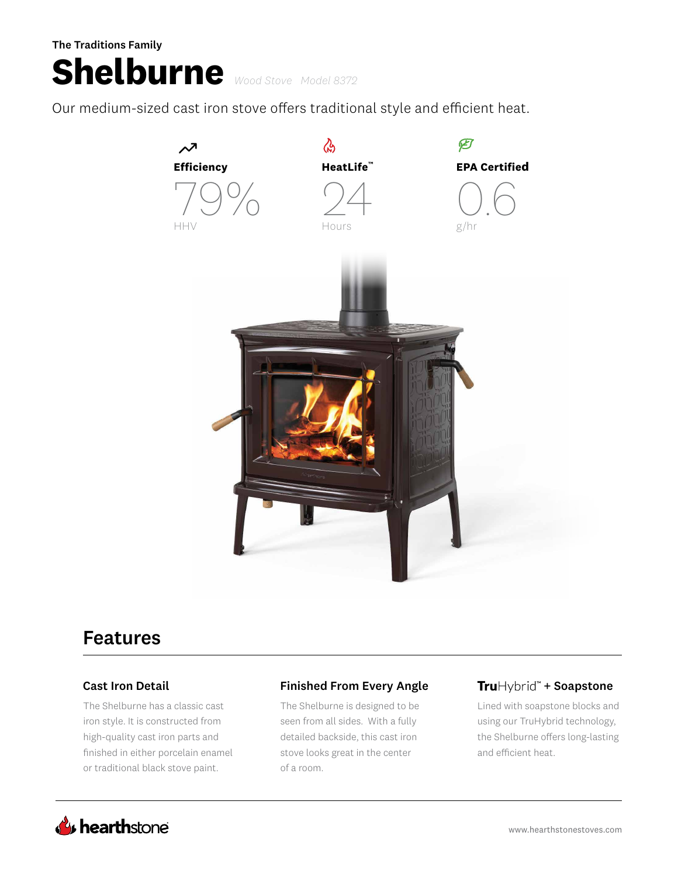### The Traditions Family

# **Shelburne** *Wood Stove Model 8372*

Our medium-sized cast iron stove offers traditional style and efficient heat.



## Features

The Shelburne has a classic cast iron style. It is constructed from high-quality cast iron parts and finished in either porcelain enamel or traditional black stove paint.

### Cast Iron Detail **Finished From Every Angle**

The Shelburne is designed to be seen from all sides. With a fully detailed backside, this cast iron stove looks great in the center of a room.

### TruHybrid<sup>\*\*</sup> + Soapstone

Lined with soapstone blocks and using our TruHybrid technology, the Shelburne offers long-lasting and efficient heat.